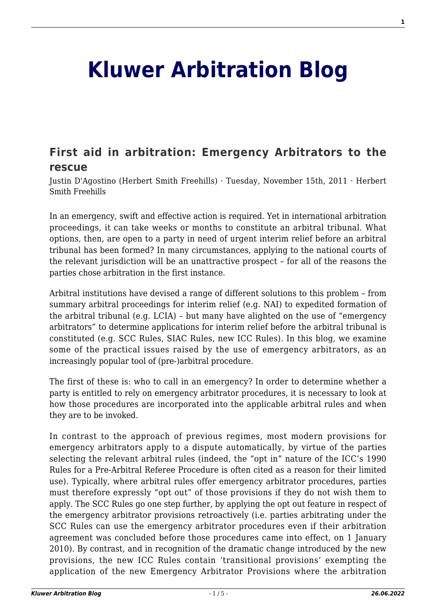## **[Kluwer Arbitration Blog](http://arbitrationblog.kluwerarbitration.com/)**

## **[First aid in arbitration: Emergency Arbitrators to the](http://arbitrationblog.kluwerarbitration.com/2011/11/15/first-aid-in-arbitration-emergency-arbitrators-to-the-rescue/) [rescue](http://arbitrationblog.kluwerarbitration.com/2011/11/15/first-aid-in-arbitration-emergency-arbitrators-to-the-rescue/)**

Justin D'Agostino (Herbert Smith Freehills) · Tuesday, November 15th, 2011 · Herbert Smith Freehills

In an emergency, swift and effective action is required. Yet in international arbitration proceedings, it can take weeks or months to constitute an arbitral tribunal. What options, then, are open to a party in need of urgent interim relief before an arbitral tribunal has been formed? In many circumstances, applying to the national courts of the relevant jurisdiction will be an unattractive prospect – for all of the reasons the parties chose arbitration in the first instance.

Arbitral institutions have devised a range of different solutions to this problem – from summary arbitral proceedings for interim relief (e.g. NAI) to expedited formation of the arbitral tribunal (e.g. LCIA) – but many have alighted on the use of "emergency arbitrators" to determine applications for interim relief before the arbitral tribunal is constituted (e.g. SCC Rules, SIAC Rules, new ICC Rules). In this blog, we examine some of the practical issues raised by the use of emergency arbitrators, as an increasingly popular tool of (pre-)arbitral procedure.

The first of these is: who to call in an emergency? In order to determine whether a party is entitled to rely on emergency arbitrator procedures, it is necessary to look at how those procedures are incorporated into the applicable arbitral rules and when they are to be invoked.

In contrast to the approach of previous regimes, most modern provisions for emergency arbitrators apply to a dispute automatically, by virtue of the parties selecting the relevant arbitral rules (indeed, the "opt in" nature of the ICC's 1990 Rules for a Pre-Arbitral Referee Procedure is often cited as a reason for their limited use). Typically, where arbitral rules offer emergency arbitrator procedures, parties must therefore expressly "opt out" of those provisions if they do not wish them to apply. The SCC Rules go one step further, by applying the opt out feature in respect of the emergency arbitrator provisions retroactively (i.e. parties arbitrating under the SCC Rules can use the emergency arbitrator procedures even if their arbitration agreement was concluded before those procedures came into effect, on 1 January 2010). By contrast, and in recognition of the dramatic change introduced by the new provisions, the new ICC Rules contain 'transitional provisions' exempting the application of the new Emergency Arbitrator Provisions where the arbitration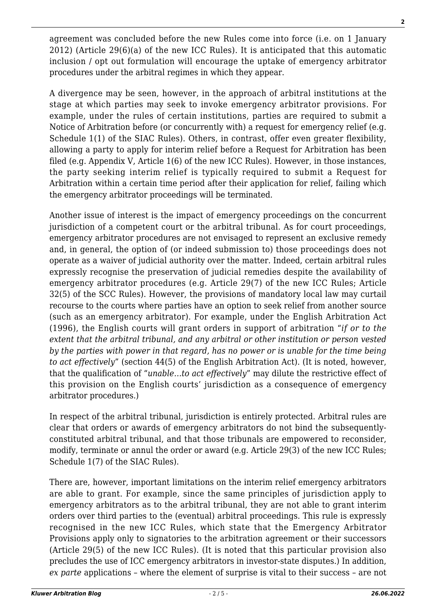agreement was concluded before the new Rules come into force (i.e. on 1 January 2012) (Article 29(6)(a) of the new ICC Rules). It is anticipated that this automatic inclusion / opt out formulation will encourage the uptake of emergency arbitrator procedures under the arbitral regimes in which they appear.

A divergence may be seen, however, in the approach of arbitral institutions at the stage at which parties may seek to invoke emergency arbitrator provisions. For example, under the rules of certain institutions, parties are required to submit a Notice of Arbitration before (or concurrently with) a request for emergency relief (e.g. Schedule 1(1) of the SIAC Rules). Others, in contrast, offer even greater flexibility, allowing a party to apply for interim relief before a Request for Arbitration has been filed (e.g. Appendix V, Article 1(6) of the new ICC Rules). However, in those instances, the party seeking interim relief is typically required to submit a Request for Arbitration within a certain time period after their application for relief, failing which the emergency arbitrator proceedings will be terminated.

Another issue of interest is the impact of emergency proceedings on the concurrent jurisdiction of a competent court or the arbitral tribunal. As for court proceedings, emergency arbitrator procedures are not envisaged to represent an exclusive remedy and, in general, the option of (or indeed submission to) those proceedings does not operate as a waiver of judicial authority over the matter. Indeed, certain arbitral rules expressly recognise the preservation of judicial remedies despite the availability of emergency arbitrator procedures (e.g. Article 29(7) of the new ICC Rules; Article 32(5) of the SCC Rules). However, the provisions of mandatory local law may curtail recourse to the courts where parties have an option to seek relief from another source (such as an emergency arbitrator). For example, under the English Arbitration Act (1996), the English courts will grant orders in support of arbitration "*if or to the extent that the arbitral tribunal, and any arbitral or other institution or person vested by the parties with power in that regard, has no power or is unable for the time being to act effectively*" (section 44(5) of the English Arbitration Act). (It is noted, however, that the qualification of "*unable…to act effectively*" may dilute the restrictive effect of this provision on the English courts' jurisdiction as a consequence of emergency arbitrator procedures.)

In respect of the arbitral tribunal, jurisdiction is entirely protected. Arbitral rules are clear that orders or awards of emergency arbitrators do not bind the subsequentlyconstituted arbitral tribunal, and that those tribunals are empowered to reconsider, modify, terminate or annul the order or award (e.g. Article 29(3) of the new ICC Rules; Schedule 1(7) of the SIAC Rules).

There are, however, important limitations on the interim relief emergency arbitrators are able to grant. For example, since the same principles of jurisdiction apply to emergency arbitrators as to the arbitral tribunal, they are not able to grant interim orders over third parties to the (eventual) arbitral proceedings. This rule is expressly recognised in the new ICC Rules, which state that the Emergency Arbitrator Provisions apply only to signatories to the arbitration agreement or their successors (Article 29(5) of the new ICC Rules). (It is noted that this particular provision also precludes the use of ICC emergency arbitrators in investor-state disputes.) In addition, *ex parte* applications – where the element of surprise is vital to their success – are not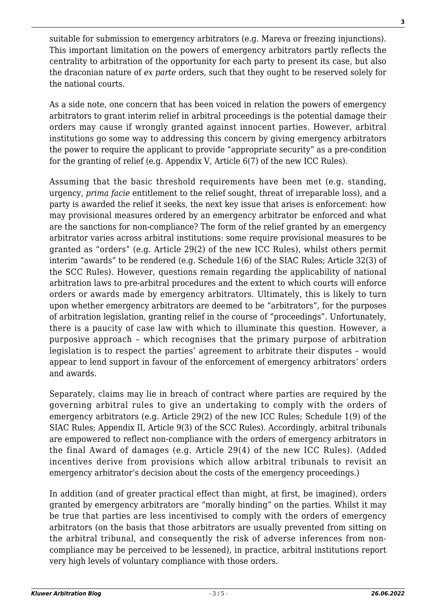suitable for submission to emergency arbitrators (e.g. Mareva or freezing injunctions). This important limitation on the powers of emergency arbitrators partly reflects the centrality to arbitration of the opportunity for each party to present its case, but also the draconian nature of *ex parte* orders, such that they ought to be reserved solely for the national courts.

As a side note, one concern that has been voiced in relation the powers of emergency arbitrators to grant interim relief in arbitral proceedings is the potential damage their orders may cause if wrongly granted against innocent parties. However, arbitral institutions go some way to addressing this concern by giving emergency arbitrators the power to require the applicant to provide "appropriate security" as a pre-condition for the granting of relief (e.g. Appendix V, Article 6(7) of the new ICC Rules).

Assuming that the basic threshold requirements have been met (e.g. standing, urgency, *prima facie* entitlement to the relief sought, threat of irreparable loss), and a party is awarded the relief it seeks, the next key issue that arises is enforcement: how may provisional measures ordered by an emergency arbitrator be enforced and what are the sanctions for non-compliance? The form of the relief granted by an emergency arbitrator varies across arbitral institutions: some require provisional measures to be granted as "orders" (e.g. Article 29(2) of the new ICC Rules), whilst others permit interim "awards" to be rendered (e.g. Schedule 1(6) of the SIAC Rules; Article 32(3) of the SCC Rules). However, questions remain regarding the applicability of national arbitration laws to pre-arbitral procedures and the extent to which courts will enforce orders or awards made by emergency arbitrators. Ultimately, this is likely to turn upon whether emergency arbitrators are deemed to be "arbitrators", for the purposes of arbitration legislation, granting relief in the course of "proceedings". Unfortunately, there is a paucity of case law with which to illuminate this question. However, a purposive approach – which recognises that the primary purpose of arbitration legislation is to respect the parties' agreement to arbitrate their disputes – would appear to lend support in favour of the enforcement of emergency arbitrators' orders and awards.

Separately, claims may lie in breach of contract where parties are required by the governing arbitral rules to give an undertaking to comply with the orders of emergency arbitrators (e.g. Article 29(2) of the new ICC Rules; Schedule 1(9) of the SIAC Rules; Appendix II, Article 9(3) of the SCC Rules). Accordingly, arbitral tribunals are empowered to reflect non-compliance with the orders of emergency arbitrators in the final Award of damages (e.g. Article 29(4) of the new ICC Rules). (Added incentives derive from provisions which allow arbitral tribunals to revisit an emergency arbitrator's decision about the costs of the emergency proceedings.)

In addition (and of greater practical effect than might, at first, be imagined), orders granted by emergency arbitrators are "morally binding" on the parties. Whilst it may be true that parties are less incentivised to comply with the orders of emergency arbitrators (on the basis that those arbitrators are usually prevented from sitting on the arbitral tribunal, and consequently the risk of adverse inferences from noncompliance may be perceived to be lessened), in practice, arbitral institutions report very high levels of voluntary compliance with those orders.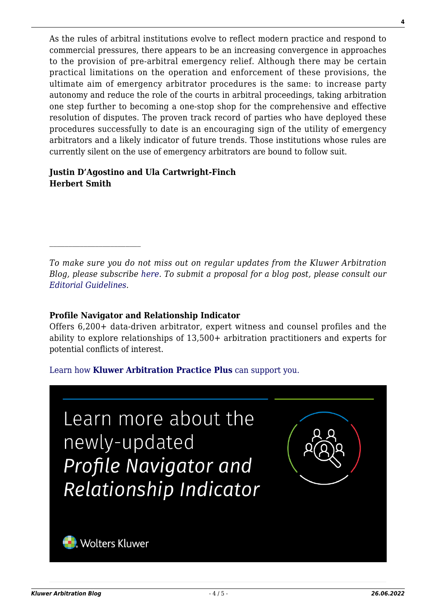As the rules of arbitral institutions evolve to reflect modern practice and respond to commercial pressures, there appears to be an increasing convergence in approaches to the provision of pre-arbitral emergency relief. Although there may be certain practical limitations on the operation and enforcement of these provisions, the ultimate aim of emergency arbitrator procedures is the same: to increase party autonomy and reduce the role of the courts in arbitral proceedings, taking arbitration one step further to becoming a one-stop shop for the comprehensive and effective resolution of disputes. The proven track record of parties who have deployed these procedures successfully to date is an encouraging sign of the utility of emergency arbitrators and a likely indicator of future trends. Those institutions whose rules are currently silent on the use of emergency arbitrators are bound to follow suit.

## **Justin D'Agostino and Ula Cartwright-Finch Herbert Smith**

*To make sure you do not miss out on regular updates from the Kluwer Arbitration Blog, please subscribe [here](http://arbitrationblog.kluwerarbitration.com/newsletter/). To submit a proposal for a blog post, please consult our [Editorial Guidelines.](http://arbitrationblog.kluwerarbitration.com/editorial-guidelines/)*

## **Profile Navigator and Relationship Indicator**

Offers 6,200+ data-driven arbitrator, expert witness and counsel profiles and the ability to explore relationships of 13,500+ arbitration practitioners and experts for potential conflicts of interest.

[Learn how](https://www.wolterskluwer.com/en/solutions/kluwerarbitration/practiceplus?utm_source=arbitrationblog&utm_medium=articleCTA&utm_campaign=article-banner) **[Kluwer Arbitration Practice Plus](https://www.wolterskluwer.com/en/solutions/kluwerarbitration/practiceplus?utm_source=arbitrationblog&utm_medium=articleCTA&utm_campaign=article-banner)** [can support you.](https://www.wolterskluwer.com/en/solutions/kluwerarbitration/practiceplus?utm_source=arbitrationblog&utm_medium=articleCTA&utm_campaign=article-banner)